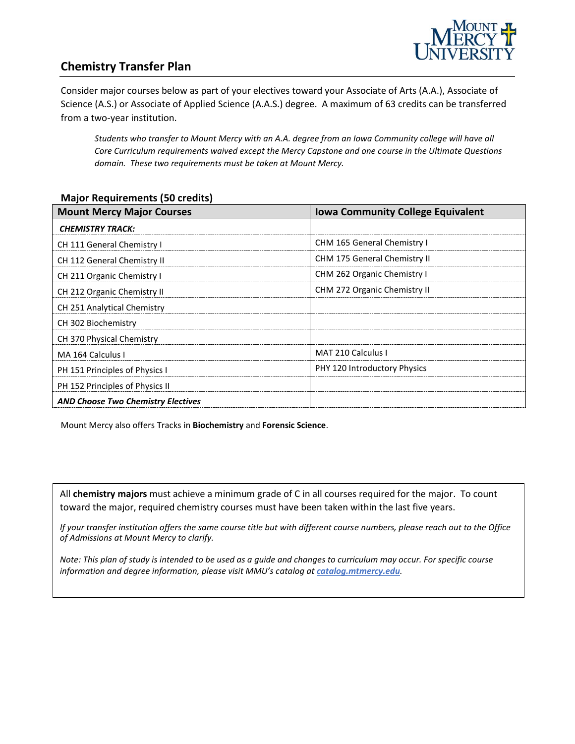

## **Chemistry Transfer Plan**

Consider major courses below as part of your electives toward your Associate of Arts (A.A.), Associate of Science (A.S.) or Associate of Applied Science (A.A.S.) degree. A maximum of 63 credits can be transferred from a two-year institution.

*Students who transfer to Mount Mercy with an A.A. degree from an Iowa Community college will have all Core Curriculum requirements waived except the Mercy Capstone and one course in the Ultimate Questions domain. These two requirements must be taken at Mount Mercy.* 

#### **Major Requirements (50 credits)**

| <b>Mount Mercy Major Courses</b>          | <b>Iowa Community College Equivalent</b> |
|-------------------------------------------|------------------------------------------|
| <b>CHEMISTRY TRACK:</b>                   |                                          |
| CH 111 General Chemistry I                | CHM 165 General Chemistry I              |
| CH 112 General Chemistry II               | <b>CHM 175 General Chemistry II</b>      |
| CH 211 Organic Chemistry I                | CHM 262 Organic Chemistry I              |
| CH 212 Organic Chemistry II               | CHM 272 Organic Chemistry II             |
| CH 251 Analytical Chemistry               |                                          |
| CH 302 Biochemistry                       |                                          |
| CH 370 Physical Chemistry                 |                                          |
| MA 164 Calculus I                         | MAT 210 Calculus I                       |
| PH 151 Principles of Physics I            | PHY 120 Introductory Physics             |
| PH 152 Principles of Physics II           |                                          |
| <b>AND Choose Two Chemistry Electives</b> |                                          |

Mount Mercy also offers Tracks in **Biochemistry** and **Forensic Science**.

All **chemistry majors** must achieve a minimum grade of C in all courses required for the major. To count toward the major, required chemistry courses must have been taken within the last five years.

*If your transfer institution offers the same course title but with different course numbers, please reach out to the Office of Admissions at Mount Mercy to clarify.*

*Note: This plan of study is intended to be used as a guide and changes to curriculum may occur. For specific course information and degree information, please visit MMU's catalog at catalog.mtmercy.edu.*